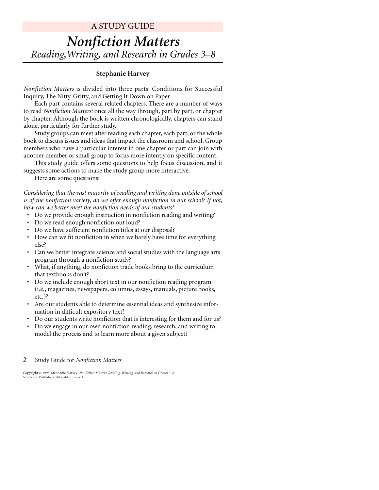# A STUDY GUIDE *Nonfiction Matters Reading,Writing, and Research in Grades 3–8*

#### **Stephanie Harvey**

*Nonfiction Matters* is divided into three parts: Conditions for Successful Inquiry, The Nitty-Gritty, and Getting It Down on Paper

Each part contains several related chapters. There are a number of ways to read *Nonfiction Matters:* once all the way through, part by part, or chapter by chapter. Although the book is written chronologically, chapters can stand alone, particularly for further study.

Study groups can meet after reading each chapter, each part, or the whole book to discuss issues and ideas that impact the classroom and school. Group members who have a particular interest in one chapter or part can join with another member or small group to focus more intently on specific content.

This study guide offers some questions to help focus discussion, and it suggests some actions to make the study group more interactive.

Here are some questions:

*Considering that the vast majority of reading and writing done outside of school is of the nonfiction variety, do we offer enough nonfiction in our school? If not, how can we better meet the nonfiction needs of our students?*

- Do we provide enough instruction in nonfiction reading and writing?
- Do we read enough nonfiction out loud?
- Do we have sufficient nonfiction titles at our disposal?
- How can we fit nonfiction in when we barely have time for everything else?
- Can we better integrate science and social studies with the language arts program through a nonfiction study?
- What, if anything, do nonfiction trade books bring to the curriculum that textbooks don't?
- Do we include enough short text in our nonfiction reading program (i.e., magazines, newspapers, columns, essays, manuals, picture books, etc.)?
- Are our students able to determine essential ideas and synthesize information in difficult expository text?
- Do our students write nonfiction that is interesting for them and for us?
- Do we engage in our own nonfiction reading, research, and writing to model the process and to learn more about a given subject?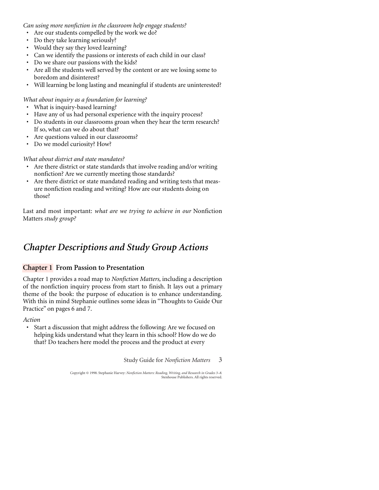*Can using more nonfiction in the classroom help engage students?*

- Are our students compelled by the work we do?
- Do they take learning seriously?
- Would they say they loved learning?
- Can we identify the passions or interests of each child in our class?
- Do we share our passions with the kids?
- Are all the students well served by the content or are we losing some to boredom and disinterest?
- Will learning be long lasting and meaningful if students are uninterested?

#### *What about inquiry as a foundation for learning?*

- What is inquiry-based learning?
- Have any of us had personal experience with the inquiry process?
- Do students in our classrooms groan when they hear the term research? If so, what can we do about that?
- Are questions valued in our classrooms?
- Do we model curiosity? How?

#### *What about district and state mandates?*

- Are there district or state standards that involve reading and/or writing nonfiction? Are we currently meeting those standards?
- Are there district or state mandated reading and writing tests that measure nonfiction reading and writing? How are our students doing on those?

Last and most important: *what are we trying to achieve in our* Nonfiction Matters *study group?*

## *Chapter Descriptions and Study Group Actions*

### **Chapter 1 From Passion to Presentation**

Chapter 1 provides a road map to *Nonfiction Matters,* including a description of the nonfiction inquiry process from start to finish. It lays out a primary theme of the book: the purpose of education is to enhance understanding. With this in mind Stephanie outlines some ideas in "Thoughts to Guide Our Practice" on pages 6 and 7.

#### *Action*

• Start a discussion that might address the following: Are we focused on helping kids understand what they learn in this school? How do we do that? Do teachers here model the process and the product at every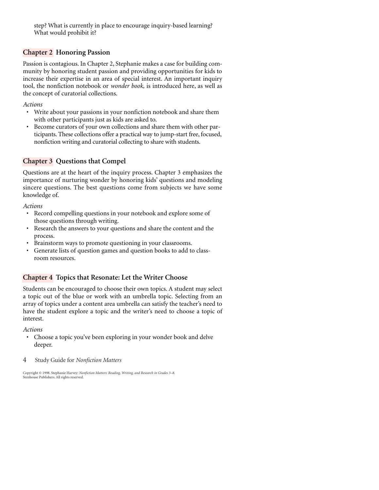step? What is currently in place to encourage inquiry-based learning? What would prohibit it?

### **Chapter 2 Honoring Passion**

Passion is contagious. In Chapter 2, Stephanie makes a case for building community by honoring student passion and providing opportunities for kids to increase their expertise in an area of special interest. An important inquiry tool, the nonfiction notebook or *wonder book,* is introduced here, as well as the concept of curatorial collections.

*Actions*

- Write about your passions in your nonfiction notebook and share them with other participants just as kids are asked to.
- Become curators of your own collections and share them with other participants. These collections offer a practical way to jump-start free, focused, nonfiction writing and curatorial collecting to share with students.

### **Chapter 3 Questions that Compel**

Questions are at the heart of the inquiry process. Chapter 3 emphasizes the importance of nurturing wonder by honoring kids' questions and modeling sincere questions. The best questions come from subjects we have some knowledge of.

#### *Actions*

- Record compelling questions in your notebook and explore some of those questions through writing.
- Research the answers to your questions and share the content and the process.
- Brainstorm ways to promote questioning in your classrooms.
- Generate lists of question games and question books to add to classroom resources.

### **Chapter 4 Topics that Resonate: Let the Writer Choose**

Students can be encouraged to choose their own topics. A student may select a topic out of the blue or work with an umbrella topic. Selecting from an array of topics under a content area umbrella can satisfy the teacher's need to have the student explore a topic and the writer's need to choose a topic of interest.

#### *Actions*

- Choose a topic you've been exploring in your wonder book and delve deeper.
- 4 Study Guide for *Nonfiction Matters*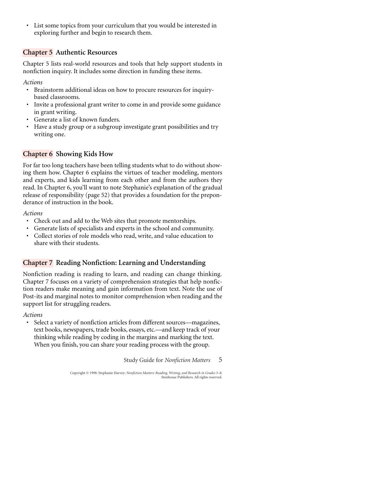• List some topics from your curriculum that you would be interested in exploring further and begin to research them.

### **Chapter 5 Authentic Resources**

Chapter 5 lists real-world resources and tools that help support students in nonfiction inquiry. It includes some direction in funding these items.

*Actions*

- Brainstorm additional ideas on how to procure resources for inquirybased classrooms.
- Invite a professional grant writer to come in and provide some guidance in grant writing.
- Generate a list of known funders.
- Have a study group or a subgroup investigate grant possibilities and try writing one.

### **Chapter 6 Showing Kids How**

For far too long teachers have been telling students what to do without showing them how. Chapter 6 explains the virtues of teacher modeling, mentors and experts, and kids learning from each other and from the authors they read. In Chapter 6, you'll want to note Stephanie's explanation of the gradual release of responsibility (page 52) that provides a foundation for the preponderance of instruction in the book.

#### *Actions*

- Check out and add to the Web sites that promote mentorships.
- Generate lists of specialists and experts in the school and community.
- Collect stories of role models who read, write, and value education to share with their students.

### **Chapter 7 Reading Nonfiction: Learning and Understanding**

Nonfiction reading is reading to learn, and reading can change thinking. Chapter 7 focuses on a variety of comprehension strategies that help nonfiction readers make meaning and gain information from text. Note the use of Post-its and marginal notes to monitor comprehension when reading and the support list for struggling readers.

*Actions*

• Select a variety of nonfiction articles from different sources—magazines, text books, newspapers, trade books, essays, etc.—and keep track of your thinking while reading by coding in the margins and marking the text. When you finish, you can share your reading process with the group.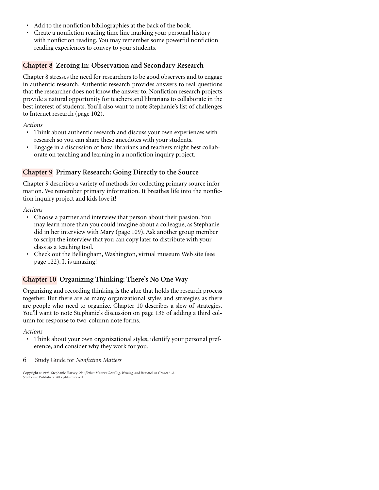- Add to the nonfiction bibliographies at the back of the book.
- Create a nonfiction reading time line marking your personal history with nonfiction reading. You may remember some powerful nonfiction reading experiences to convey to your students.

### **Chapter 8 Zeroing In: Observation and Secondary Research**

Chapter 8 stresses the need for researchers to be good observers and to engage in authentic research. Authentic research provides answers to real questions that the researcher does not know the answer to. Nonfiction research projects provide a natural opportunity for teachers and librarians to collaborate in the best interest of students. You'll also want to note Stephanie's list of challenges to Internet research (page 102).

#### *Actions*

- Think about authentic research and discuss your own experiences with research so you can share these anecdotes with your students.
- Engage in a discussion of how librarians and teachers might best collaborate on teaching and learning in a nonfiction inquiry project.

### **Chapter 9 Primary Research: Going Directly to the Source**

Chapter 9 describes a variety of methods for collecting primary source information. We remember primary information. It breathes life into the nonfiction inquiry project and kids love it!

#### *Actions*

- Choose a partner and interview that person about their passion. You may learn more than you could imagine about a colleague, as Stephanie did in her interview with Mary (page 109). Ask another group member to script the interview that you can copy later to distribute with your class as a teaching tool.
- Check out the Bellingham, Washington, virtual museum Web site (see page 122). It is amazing!

### **Chapter 10 Organizing Thinking: There's No One Way**

Organizing and recording thinking is the glue that holds the research process together. But there are as many organizational styles and strategies as there are people who need to organize. Chapter 10 describes a slew of strategies. You'll want to note Stephanie's discussion on page 136 of adding a third column for response to two-column note forms.

#### *Actions*

- Think about your own organizational styles, identify your personal preference, and consider why they work for you.
- 6 Study Guide for *Nonfiction Matters*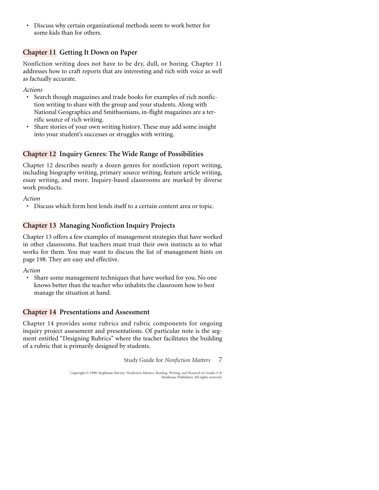• Discuss why certain organizational methods seem to work better for some kids than for others.

### **Chapter 11 Getting It Down on Paper**

Nonfiction writing does not have to be dry, dull, or boring. Chapter 11 addresses how to craft reports that are interesting and rich with voice as well as factually accurate.

*Actions*

- Search though magazines and trade books for examples of rich nonfiction writing to share with the group and your students. Along with National Geographics and Smithsonians, in-flight magazines are a terrific source of rich writing.
- Share stories of your own writing history. These may add some insight into your student's successes or struggles with writing.

### **Chapter 12 Inquiry Genres: The Wide Range of Possibilities**

Chapter 12 describes nearly a dozen genres for nonfiction report writing, including biography writing, primary source writing, feature article writing, essay writing, and more. Inquiry-based classrooms are marked by diverse work products.

*Action*

• Discuss which form best lends itself to a certain content area or topic.

### **Chapter 13 Managing Nonfiction Inquiry Projects**

Chapter 13 offers a few examples of management strategies that have worked in other classrooms. But teachers must trust their own instincts as to what works for them. You may want to discuss the list of management hints on page 198. They are easy and effective.

*Action*

• Share some management techniques that have worked for you. No one knows better than the teacher who inhabits the classroom how to best manage the situation at hand.

### **Chapter 14 Presentations and Assessment**

Chapter 14 provides some rubrics and rubric components for ongoing inquiry project assessment and presentations. Of particular note is the segment entitled "Designing Rubrics" where the teacher facilitates the building of a rubric that is primarily designed by students.